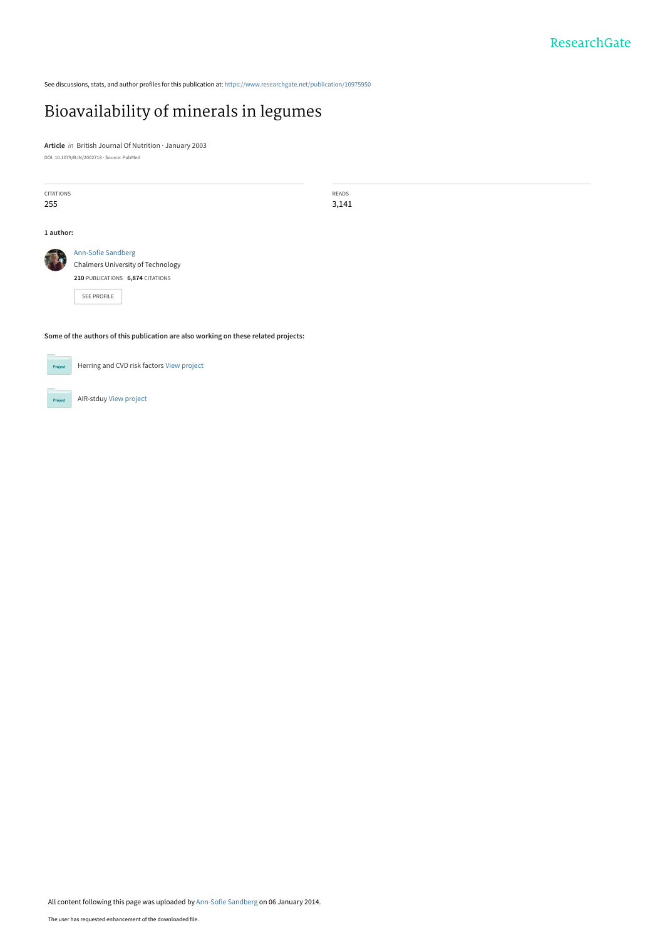See discussions, stats, and author profiles for this publication at: [https://www.researchgate.net/publication/10975950](https://www.researchgate.net/publication/10975950_Bioavailability_of_minerals_in_legumes?enrichId=rgreq-2fc334df6c627c51a8a3b4fc992e41b8-XXX&enrichSource=Y292ZXJQYWdlOzEwOTc1OTUwO0FTOjEwMjM4ODIyMDMwMTMyMUAxNDAxNDIyNjYzMDc4&el=1_x_2&_esc=publicationCoverPdf)

# [Bioavailability of minerals in legumes](https://www.researchgate.net/publication/10975950_Bioavailability_of_minerals_in_legumes?enrichId=rgreq-2fc334df6c627c51a8a3b4fc992e41b8-XXX&enrichSource=Y292ZXJQYWdlOzEwOTc1OTUwO0FTOjEwMjM4ODIyMDMwMTMyMUAxNDAxNDIyNjYzMDc4&el=1_x_3&_esc=publicationCoverPdf)

**Article** in British Journal Of Nutrition · January 2003 DOI: 10.1079/BJN/2002718 · Source: PubMed

| CITATIONS                                                                           | READS                             |  |  |  |
|-------------------------------------------------------------------------------------|-----------------------------------|--|--|--|
| 255                                                                                 | 3,141                             |  |  |  |
|                                                                                     |                                   |  |  |  |
| 1 author:                                                                           |                                   |  |  |  |
|                                                                                     | Ann-Sofie Sandberg                |  |  |  |
|                                                                                     | Chalmers University of Technology |  |  |  |
|                                                                                     | 210 PUBLICATIONS 6,874 CITATIONS  |  |  |  |
|                                                                                     | <b>SEE PROFILE</b>                |  |  |  |
|                                                                                     |                                   |  |  |  |
| Some of the authors of this publication are also working on these related projects: |                                   |  |  |  |
| $\sim$                                                                              |                                   |  |  |  |



Herring and CVD risk factors [View project](https://www.researchgate.net/project/Herring-and-CVD-risk-factors?enrichId=rgreq-2fc334df6c627c51a8a3b4fc992e41b8-XXX&enrichSource=Y292ZXJQYWdlOzEwOTc1OTUwO0FTOjEwMjM4ODIyMDMwMTMyMUAxNDAxNDIyNjYzMDc4&el=1_x_9&_esc=publicationCoverPdf)

AIR-stduy [View project](https://www.researchgate.net/project/AIR-stduy?enrichId=rgreq-2fc334df6c627c51a8a3b4fc992e41b8-XXX&enrichSource=Y292ZXJQYWdlOzEwOTc1OTUwO0FTOjEwMjM4ODIyMDMwMTMyMUAxNDAxNDIyNjYzMDc4&el=1_x_9&_esc=publicationCoverPdf) Project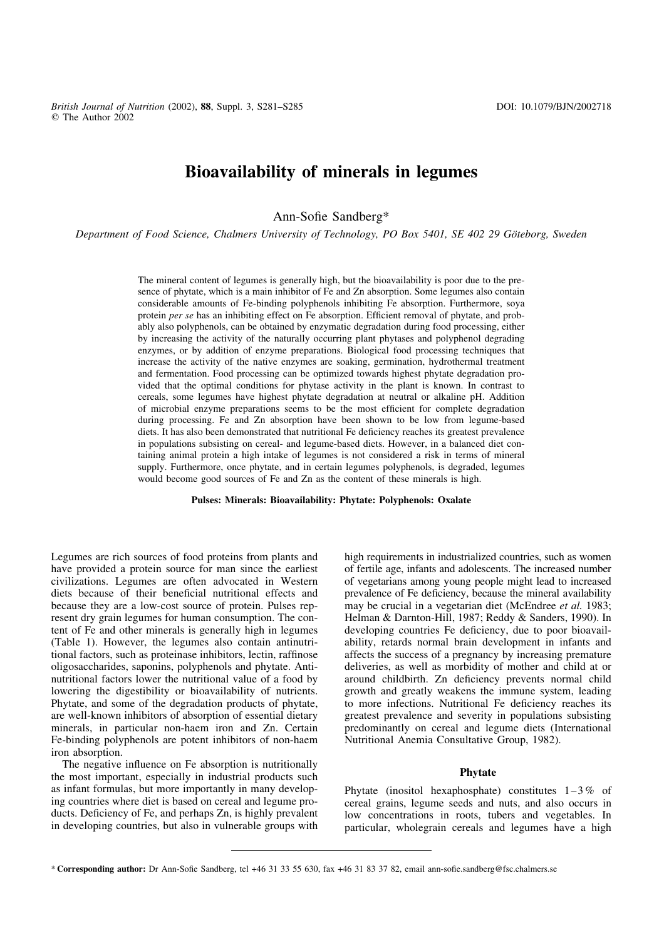British Journal of Nutrition (2002), 88, Suppl. 3, S281–S285 DOI: 10.1079/BJN/2002718  $© The Author 2002$ 

# Bioavailability of minerals in legumes

Ann-Sofie Sandberg\*

Department of Food Science, Chalmers University of Technology, PO Box 5401, SE 402 29 Göteborg, Sweden

The mineral content of legumes is generally high, but the bioavailability is poor due to the presence of phytate, which is a main inhibitor of Fe and Zn absorption. Some legumes also contain considerable amounts of Fe-binding polyphenols inhibiting Fe absorption. Furthermore, soya protein per se has an inhibiting effect on Fe absorption. Efficient removal of phytate, and probably also polyphenols, can be obtained by enzymatic degradation during food processing, either by increasing the activity of the naturally occurring plant phytases and polyphenol degrading enzymes, or by addition of enzyme preparations. Biological food processing techniques that increase the activity of the native enzymes are soaking, germination, hydrothermal treatment and fermentation. Food processing can be optimized towards highest phytate degradation provided that the optimal conditions for phytase activity in the plant is known. In contrast to cereals, some legumes have highest phytate degradation at neutral or alkaline pH. Addition of microbial enzyme preparations seems to be the most efficient for complete degradation during processing. Fe and Zn absorption have been shown to be low from legume-based diets. It has also been demonstrated that nutritional Fe deficiency reaches its greatest prevalence in populations subsisting on cereal- and legume-based diets. However, in a balanced diet containing animal protein a high intake of legumes is not considered a risk in terms of mineral supply. Furthermore, once phytate, and in certain legumes polyphenols, is degraded, legumes would become good sources of Fe and Zn as the content of these minerals is high.

Pulses: Minerals: Bioavailability: Phytate: Polyphenols: Oxalate

Legumes are rich sources of food proteins from plants and have provided a protein source for man since the earliest civilizations. Legumes are often advocated in Western diets because of their beneficial nutritional effects and because they are a low-cost source of protein. Pulses represent dry grain legumes for human consumption. The content of Fe and other minerals is generally high in legumes [\(Table 1\).](#page-2-0) However, the legumes also contain antinutritional factors, such as proteinase inhibitors, lectin, raffinose oligosaccharides, saponins, polyphenols and phytate. Antinutritional factors lower the nutritional value of a food by lowering the digestibility or bioavailability of nutrients. Phytate, and some of the degradation products of phytate, are well-known inhibitors of absorption of essential dietary minerals, in particular non-haem iron and Zn. Certain Fe-binding polyphenols are potent inhibitors of non-haem iron absorption.

The negative influence on Fe absorption is nutritionally the most important, especially in industrial products such as infant formulas, but more importantly in many developing countries where diet is based on cereal and legume products. Deficiency of Fe, and perhaps Zn, is highly prevalent in developing countries, but also in vulnerable groups with high requirements in industrialized countries, such as women of fertile age, infants and adolescents. The increased number of vegetarians among young people might lead to increased prevalence of Fe deficiency, because the mineral availability may be crucial in a vegetarian diet (McEndree et al. 1983; Helman & Darnton-Hill, 1987; Reddy & Sanders, 1990). In developing countries Fe deficiency, due to poor bioavailability, retards normal brain development in infants and affects the success of a pregnancy by increasing premature deliveries, as well as morbidity of mother and child at or around childbirth. Zn deficiency prevents normal child growth and greatly weakens the immune system, leading to more infections. Nutritional Fe deficiency reaches its greatest prevalence and severity in populations subsisting predominantly on cereal and legume diets (International Nutritional Anemia Consultative Group, 1982).

#### Phytate

Phytate (inositol hexaphosphate) constitutes  $1-3\%$  of cereal grains, legume seeds and nuts, and also occurs in low concentrations in roots, tubers and vegetables. In particular, wholegrain cereals and legumes have a high

<sup>\*</sup> Corresponding author: Dr Ann-Sofie Sandberg, tel +46 31 33 55 630, fax +46 31 83 37 82, email ann-sofie.sandberg@fsc.chalmers.se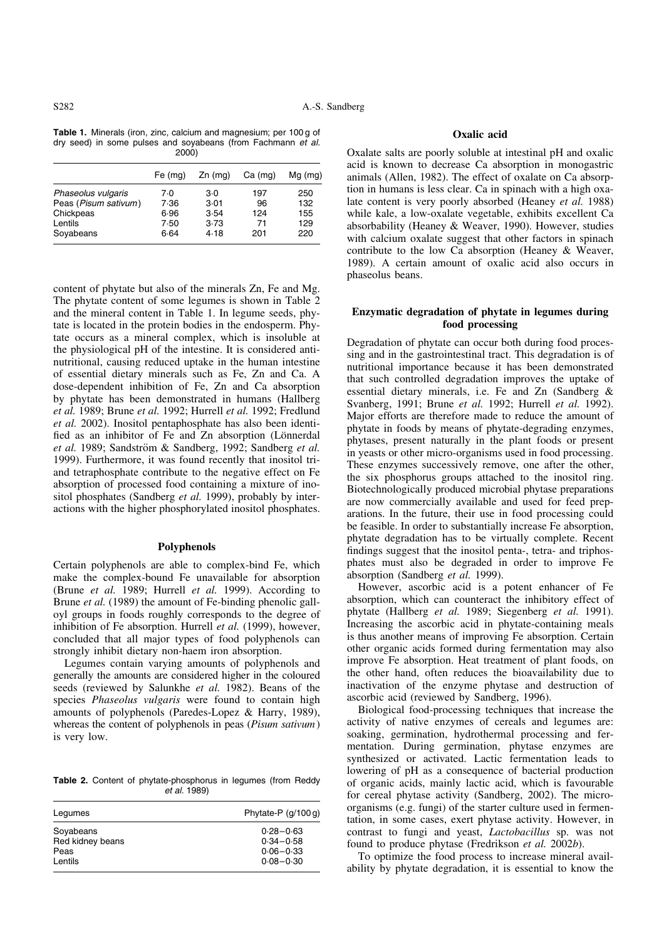<span id="page-2-0"></span>Table 1. Minerals (iron, zinc, calcium and magnesium; per 100 g of dry seed) in some pulses and soyabeans (from Fachmann et al. 2000)

|                      | Fe (mg) | $Zn$ (mg) | $Ca$ (mg) | Mg (mg) |
|----------------------|---------|-----------|-----------|---------|
| Phaseolus vulgaris   | 7.0     | $3-0$     | 197       | 250     |
| Peas (Pisum sativum) | 7.36    | 3.01      | 96        | 132     |
| Chickpeas            | 6.96    | 3.54      | 124       | 155     |
| Lentils              | 7.50    | 3.73      | 71        | 129     |
| Sovabeans            | 6.64    | 4.18      | 201       | 220     |

content of phytate but also of the minerals Zn, Fe and Mg. The phytate content of some legumes is shown in Table 2 and the mineral content in Table 1. In legume seeds, phytate is located in the protein bodies in the endosperm. Phytate occurs as a mineral complex, which is insoluble at the physiological pH of the intestine. It is considered antinutritional, causing reduced uptake in the human intestine of essential dietary minerals such as Fe, Zn and Ca. A dose-dependent inhibition of Fe, Zn and Ca absorption by phytate has been demonstrated in humans (Hallberg et al. 1989; Brune et al. 1992; Hurrell et al. 1992; Fredlund et al. 2002). Inositol pentaphosphate has also been identified as an inhibitor of Fe and Zn absorption (Lönnerdal et al. 1989; Sandström & Sandberg, 1992; Sandberg et al. 1999). Furthermore, it was found recently that inositol triand tetraphosphate contribute to the negative effect on Fe absorption of processed food containing a mixture of inositol phosphates (Sandberg et al. 1999), probably by interactions with the higher phosphorylated inositol phosphates.

#### Polyphenols

Certain polyphenols are able to complex-bind Fe, which make the complex-bound Fe unavailable for absorption (Brune et al. 1989; Hurrell et al. 1999). According to Brune *et al.* (1989) the amount of Fe-binding phenolic galloyl groups in foods roughly corresponds to the degree of inhibition of Fe absorption. Hurrell et al. (1999), however, concluded that all major types of food polyphenols can strongly inhibit dietary non-haem iron absorption.

Legumes contain varying amounts of polyphenols and generally the amounts are considered higher in the coloured seeds (reviewed by Salunkhe et al. 1982). Beans of the species Phaseolus vulgaris were found to contain high amounts of polyphenols (Paredes-Lopez & Harry, 1989), whereas the content of polyphenols in peas (*Pisum sativum*) is very low.

Table 2. Content of phytate-phosphorus in legumes (from Reddy et al. 1989)

| Legumes          | Phytate-P $(q/100q)$ |  |  |
|------------------|----------------------|--|--|
| Sovabeans        | $0.28 - 0.63$        |  |  |
| Red kidney beans | $0.34 - 0.58$        |  |  |
| Peas             | $0.06 - 0.33$        |  |  |
| Lentils          | $0.08 - 0.30$        |  |  |

### Oxalic acid

Oxalate salts are poorly soluble at intestinal pH and oxalic acid is known to decrease Ca absorption in monogastric animals (Allen, 1982). The effect of oxalate on Ca absorption in humans is less clear. Ca in spinach with a high oxalate content is very poorly absorbed (Heaney et al. 1988) while kale, a low-oxalate vegetable, exhibits excellent Ca absorbability (Heaney & Weaver, 1990). However, studies with calcium oxalate suggest that other factors in spinach contribute to the low Ca absorption (Heaney & Weaver, 1989). A certain amount of oxalic acid also occurs in phaseolus beans.

## Enzymatic degradation of phytate in legumes during food processing

Degradation of phytate can occur both during food processing and in the gastrointestinal tract. This degradation is of nutritional importance because it has been demonstrated that such controlled degradation improves the uptake of essential dietary minerals, i.e. Fe and Zn (Sandberg & Svanberg, 1991; Brune et al. 1992; Hurrell et al. 1992). Major efforts are therefore made to reduce the amount of phytate in foods by means of phytate-degrading enzymes, phytases, present naturally in the plant foods or present in yeasts or other micro-organisms used in food processing. These enzymes successively remove, one after the other, the six phosphorus groups attached to the inositol ring. Biotechnologically produced microbial phytase preparations are now commercially available and used for feed preparations. In the future, their use in food processing could be feasible. In order to substantially increase Fe absorption, phytate degradation has to be virtually complete. Recent findings suggest that the inositol penta-, tetra- and triphosphates must also be degraded in order to improve Fe absorption (Sandberg et al. 1999).

However, ascorbic acid is a potent enhancer of Fe absorption, which can counteract the inhibitory effect of phytate (Hallberg et al. 1989; Siegenberg et al. 1991). Increasing the ascorbic acid in phytate-containing meals is thus another means of improving Fe absorption. Certain other organic acids formed during fermentation may also improve Fe absorption. Heat treatment of plant foods, on the other hand, often reduces the bioavailability due to inactivation of the enzyme phytase and destruction of ascorbic acid (reviewed by Sandberg, 1996).

Biological food-processing techniques that increase the activity of native enzymes of cereals and legumes are: soaking, germination, hydrothermal processing and fermentation. During germination, phytase enzymes are synthesized or activated. Lactic fermentation leads to lowering of pH as a consequence of bacterial production of organic acids, mainly lactic acid, which is favourable for cereal phytase activity (Sandberg, 2002). The microorganisms (e.g. fungi) of the starter culture used in fermentation, in some cases, exert phytase activity. However, in contrast to fungi and yeast, Lactobacillus sp. was not found to produce phytase (Fredrikson et al. 2002b).

To optimize the food process to increase mineral availability by phytate degradation, it is essential to know the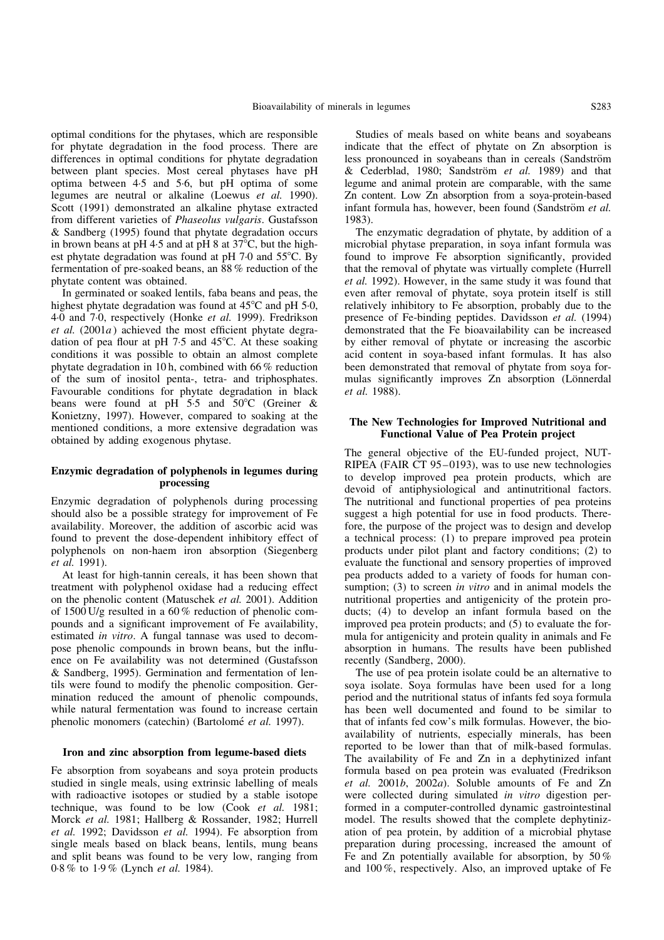optimal conditions for the phytases, which are responsible for phytate degradation in the food process. There are differences in optimal conditions for phytate degradation between plant species. Most cereal phytases have pH optima between 4·5 and 5·6, but pH optima of some legumes are neutral or alkaline (Loewus et al. 1990). Scott (1991) demonstrated an alkaline phytase extracted from different varieties of Phaseolus vulgaris. Gustafsson & Sandberg (1995) found that phytate degradation occurs in brown beans at pH 4.5 and at pH 8 at  $37^{\circ}$ C, but the highest phytate degradation was found at pH  $7.0$  and  $55^{\circ}$ C. By fermentation of pre-soaked beans, an 88 % reduction of the phytate content was obtained.

In germinated or soaked lentils, faba beans and peas, the highest phytate degradation was found at  $45^{\circ}$ C and pH 5.0, 4·0 and 7·0, respectively (Honke et al. 1999). Fredrikson et al.  $(2001a)$  achieved the most efficient phytate degradation of pea flour at pH 7.5 and  $45^{\circ}$ C. At these soaking conditions it was possible to obtain an almost complete phytate degradation in 10 h, combined with 66 % reduction of the sum of inositol penta-, tetra- and triphosphates. Favourable conditions for phytate degradation in black beans were found at pH  $5.5$  and  $50^{\circ}$ C (Greiner & Konietzny, 1997). However, compared to soaking at the mentioned conditions, a more extensive degradation was obtained by adding exogenous phytase.

### Enzymic degradation of polyphenols in legumes during processing

Enzymic degradation of polyphenols during processing should also be a possible strategy for improvement of Fe availability. Moreover, the addition of ascorbic acid was found to prevent the dose-dependent inhibitory effect of polyphenols on non-haem iron absorption (Siegenberg et al. 1991).

At least for high-tannin cereals, it has been shown that treatment with polyphenol oxidase had a reducing effect on the phenolic content (Matuschek et al. 2001). Addition of 1500 U/g resulted in a 60 % reduction of phenolic compounds and a significant improvement of Fe availability, estimated in vitro. A fungal tannase was used to decompose phenolic compounds in brown beans, but the influence on Fe availability was not determined (Gustafsson & Sandberg, 1995). Germination and fermentation of lentils were found to modify the phenolic composition. Germination reduced the amount of phenolic compounds, while natural fermentation was found to increase certain phenolic monomers (catechin) (Bartolomé et al. 1997).

# Iron and zinc absorption from legume-based diets

Fe absorption from soyabeans and soya protein products studied in single meals, using extrinsic labelling of meals with radioactive isotopes or studied by a stable isotope technique, was found to be low (Cook et al. 1981; Morck et al. 1981; Hallberg & Rossander, 1982; Hurrell et al. 1992; Davidsson et al. 1994). Fe absorption from single meals based on black beans, lentils, mung beans and split beans was found to be very low, ranging from 0·8 % to 1·9 % (Lynch et al. 1984).

Studies of meals based on white beans and soyabeans indicate that the effect of phytate on Zn absorption is less pronounced in soyabeans than in cereals (Sandström & Cederblad, 1980; Sandström et al. 1989) and that legume and animal protein are comparable, with the same Zn content. Low Zn absorption from a soya-protein-based infant formula has, however, been found (Sandström  $et$  al. 1983).

The enzymatic degradation of phytate, by addition of a microbial phytase preparation, in soya infant formula was found to improve Fe absorption significantly, provided that the removal of phytate was virtually complete (Hurrell et al. 1992). However, in the same study it was found that even after removal of phytate, soya protein itself is still relatively inhibitory to Fe absorption, probably due to the presence of Fe-binding peptides. Davidsson et al. (1994) demonstrated that the Fe bioavailability can be increased by either removal of phytate or increasing the ascorbic acid content in soya-based infant formulas. It has also been demonstrated that removal of phytate from soya formulas significantly improves Zn absorption (Lönnerdal et al. 1988).

#### The New Technologies for Improved Nutritional and Functional Value of Pea Protein project

The general objective of the EU-funded project, NUT-RIPEA (FAIR CT 95–0193), was to use new technologies to develop improved pea protein products, which are devoid of antiphysiological and antinutritional factors. The nutritional and functional properties of pea proteins suggest a high potential for use in food products. Therefore, the purpose of the project was to design and develop a technical process: (1) to prepare improved pea protein products under pilot plant and factory conditions; (2) to evaluate the functional and sensory properties of improved pea products added to a variety of foods for human consumption; (3) to screen *in vitro* and in animal models the nutritional properties and antigenicity of the protein products; (4) to develop an infant formula based on the improved pea protein products; and (5) to evaluate the formula for antigenicity and protein quality in animals and Fe absorption in humans. The results have been published recently (Sandberg, 2000).

The use of pea protein isolate could be an alternative to soya isolate. Soya formulas have been used for a long period and the nutritional status of infants fed soya formula has been well documented and found to be similar to that of infants fed cow's milk formulas. However, the bioavailability of nutrients, especially minerals, has been reported to be lower than that of milk-based formulas. The availability of Fe and Zn in a dephytinized infant formula based on pea protein was evaluated (Fredrikson et al. 2001b, 2002a). Soluble amounts of Fe and Zn were collected during simulated in vitro digestion performed in a computer-controlled dynamic gastrointestinal model. The results showed that the complete dephytinization of pea protein, by addition of a microbial phytase preparation during processing, increased the amount of Fe and Zn potentially available for absorption, by 50 % and 100 %, respectively. Also, an improved uptake of Fe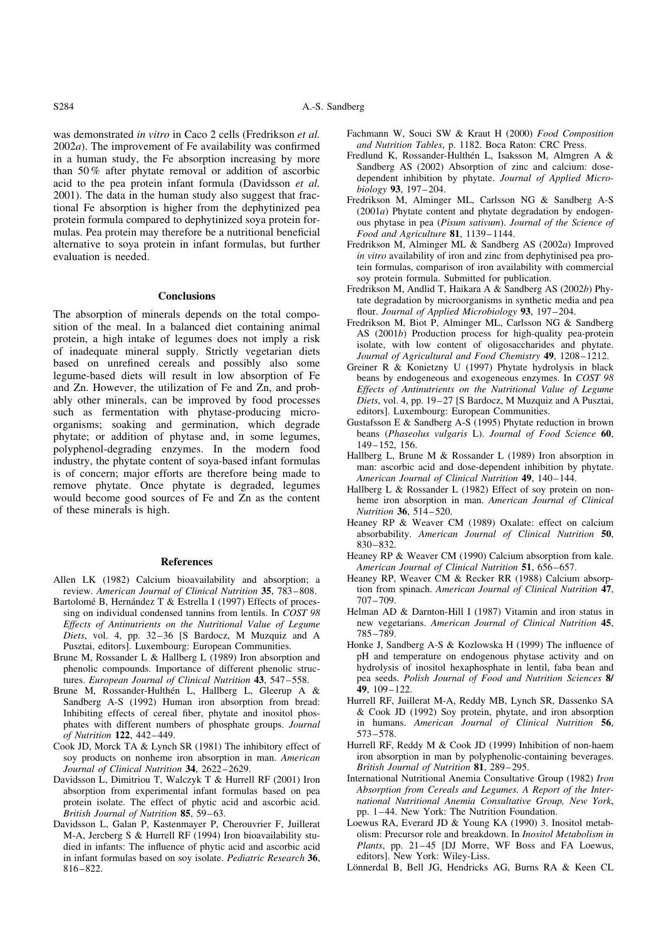was demonstrated in vitro in Caco 2 cells (Fredrikson et al.  $2002a$ ). The improvement of Fe availability was confirmed in a human study, the Fe absorption increasing by more than 50 % after phytate removal or addition of ascorbic acid to the pea protein infant formula (Davidsson et al. 2001). The data in the human study also suggest that fractional Fe absorption is higher from the dephytinized pea protein formula compared to dephytinized soya protein formulas. Pea protein may therefore be a nutritional beneficial alternative to soya protein in infant formulas, but further evaluation is needed.

#### **Conclusions**

The absorption of minerals depends on the total composition of the meal. In a balanced diet containing animal protein, a high intake of legumes does not imply a risk of inadequate mineral supply. Strictly vegetarian diets based on unrefined cereals and possibly also some legume-based diets will result in low absorption of Fe and Zn. However, the utilization of Fe and Zn, and probably other minerals, can be improved by food processes such as fermentation with phytase-producing microorganisms; soaking and germination, which degrade phytate; or addition of phytase and, in some legumes, polyphenol-degrading enzymes. In the modern food industry, the phytate content of soya-based infant formulas is of concern; major efforts are therefore being made to remove phytate. Once phytate is degraded, legumes would become good sources of Fe and Zn as the content of these minerals is high.

#### References

- Allen LK (1982) Calcium bioavailability and absorption; a review. American Journal of Clinical Nutrition 35, 783–808.
- Bartolomé B, Hernández T & Estrella I (1997) Effects of processing on individual condensed tannins from lentils. In COST 98 Effects of Antinutrients on the Nutritional Value of Legume Diets, vol. 4, pp. 32–36 [S Bardocz, M Muzquiz and A Pusztai, editors]. Luxembourg: European Communities.
- Brune M, Rossander L & Hallberg L (1989) Iron absorption and phenolic compounds. Importance of different phenolic structures. European Journal of Clinical Nutrition 43, 547–558.
- Brune M, Rossander-Hulthén L, Hallberg L, Gleerup A & Sandberg A-S (1992) Human iron absorption from bread: Inhibiting effects of cereal fiber, phytate and inositol phosphates with different numbers of phosphate groups. Journal of Nutrition 122, 442–449.
- Cook JD, Morck TA & Lynch SR (1981) The inhibitory effect of soy products on nonheme iron absorption in man. American Journal of Clinical Nutrition 34, 2622-2629.
- Davidsson L, Dimitriou T, Walczyk T & Hurrell RF (2001) Iron absorption from experimental infant formulas based on pea protein isolate. The effect of phytic acid and ascorbic acid. British Journal of Nutrition 85, 59–63.
- Davidsson L, Galan P, Kastenmayer P, Cherouvrier F, Juillerat M-A, Jercberg S & Hurrell RF (1994) Iron bioavailability studied in infants: The influence of phytic acid and ascorbic acid in infant formulas based on soy isolate. Pediatric Research 36, 816–822.
- Fachmann W, Souci SW & Kraut H (2000) Food Composition and Nutrition Tables, p. 1182. Boca Raton: CRC Press.
- Fredlund K, Rossander-Hulthén L, Isaksson M, Almgren A & Sandberg AS (2002) Absorption of zinc and calcium: dosedependent inhibition by phytate. Journal of Applied Microbiology 93, 197–204.
- Fredrikson M, Alminger ML, Carlsson NG & Sandberg A-S (2001a) Phytate content and phytate degradation by endogenous phytase in pea (Pisum sativum). Journal of the Science of Food and Agriculture 81, 1139–1144.
- Fredrikson M, Alminger ML & Sandberg AS (2002a) Improved in vitro availability of iron and zinc from dephytinised pea protein formulas, comparison of iron availability with commercial soy protein formula. Submitted for publication.
- Fredrikson M, Andlid T, Haikara A & Sandberg AS (2002b) Phytate degradation by microorganisms in synthetic media and pea flour. Journal of Applied Microbiology 93, 197–204.
- Fredrikson M, Biot P, Alminger ML, Carlsson NG & Sandberg AS (2001b) Production process for high-quality pea-protein isolate, with low content of oligosaccharides and phytate. Journal of Agricultural and Food Chemistry 49, 1208-1212.
- Greiner R & Konietzny U (1997) Phytate hydrolysis in black beans by endogeneous and exogeneous enzymes. In COST 98 Effects of Antinutrients on the Nutritional Value of Legume Diets, vol. 4, pp. 19–27 [S Bardocz, M Muzquiz and A Pusztai, editors]. Luxembourg: European Communities.
- Gustafsson E & Sandberg A-S (1995) Phytate reduction in brown beans (Phaseolus vulgaris L). Journal of Food Science 60, 149–152, 156.
- Hallberg L, Brune M & Rossander L (1989) Iron absorption in man: ascorbic acid and dose-dependent inhibition by phytate. American Journal of Clinical Nutrition 49, 140–144.
- Hallberg L & Rossander L (1982) Effect of soy protein on nonheme iron absorption in man. American Journal of Clinical Nutrition 36, 514–520.
- Heaney RP & Weaver CM (1989) Oxalate: effect on calcium absorbability. American Journal of Clinical Nutrition 50, 830–832.
- Heaney RP & Weaver CM (1990) Calcium absorption from kale. American Journal of Clinical Nutrition 51, 656-657.
- Heaney RP, Weaver CM & Recker RR (1988) Calcium absorption from spinach. American Journal of Clinical Nutrition 47, 707–709.
- Helman AD & Darnton-Hill I (1987) Vitamin and iron status in new vegetarians. American Journal of Clinical Nutrition 45, 785–789.
- Honke J, Sandberg A-S & Kozlowska H (1999) The influence of pH and temperature on endogenous phytase activity and on hydrolysis of inositol hexaphosphate in lentil, faba bean and pea seeds. Polish Journal of Food and Nutrition Sciences 8/ 49, 109–122.
- Hurrell RF, Juillerat M-A, Reddy MB, Lynch SR, Dassenko SA & Cook JD (1992) Soy protein, phytate, and iron absorption in humans. American Journal of Clinical Nutrition 56, 573–578.
- Hurrell RF, Reddy M & Cook JD (1999) Inhibition of non-haem iron absorption in man by polyphenolic-containing beverages. British Journal of Nutrition 81, 289–295.
- International Nutritional Anemia Consultative Group (1982) Iron Absorption from Cereals and Legumes. A Report of the International Nutritional Anemia Consultative Group, New York, pp. 1–44. New York: The Nutrition Foundation.
- Loewus RA, Everard JD & Young KA (1990) 3. Inositol metabolism: Precursor role and breakdown. In Inositol Metabolism in Plants, pp. 21-45 [DJ Morre, WF Boss and FA Loewus, editors]. New York: Wiley-Liss.
- Lönnerdal B, Bell JG, Hendricks AG, Burns RA & Keen CL